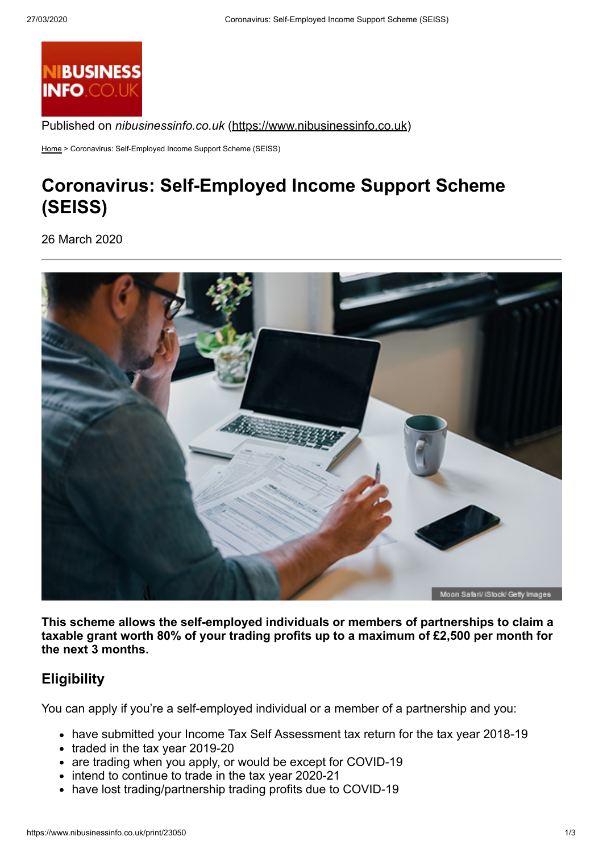

Published on *nibusinessinfo.co.uk* [\(https://www.nibusinessinfo.co.uk](https://www.nibusinessinfo.co.uk/))

[Home](https://www.nibusinessinfo.co.uk/) > Coronavirus: Self-Employed Income Support Scheme (SEISS)

# **Coronavirus: Self-Employed Income Support Scheme (SEISS)**

26 March 2020



**This scheme allows the self-employed individuals or members of partnerships to claim a taxable grant worth 80% of your trading profits up to a maximum of £2,500 per month for the next 3 months.**

# **Eligibility**

You can apply if you're a self-employed individual or a member of a partnership and you:

- have submitted your Income Tax Self Assessment tax return for the tax year 2018-19
- $\bullet$  traded in the tax year 2019-20
- are trading when you apply, or would be except for COVID-19
- intend to continue to trade in the tax year 2020-21
- have lost trading/partnership trading profits due to COVID-19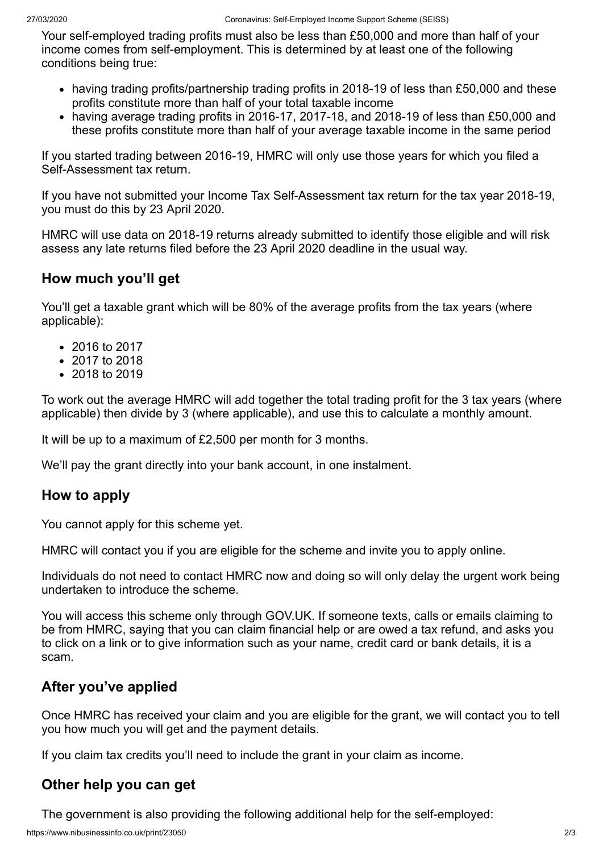Your self-employed trading profits must also be less than £50,000 and more than half of your income comes from self-employment. This is determined by at least one of the following conditions being true:

- having trading profits/partnership trading profits in 2018-19 of less than £50,000 and these profits constitute more than half of your total taxable income
- having average trading profits in 2016-17, 2017-18, and 2018-19 of less than £50,000 and these profits constitute more than half of your average taxable income in the same period

If you started trading between 2016-19, HMRC will only use those years for which you filed a Self-Assessment tax return.

If you have not submitted your Income Tax Self-Assessment tax return for the tax year 2018-19, you must do this by 23 April 2020.

HMRC will use data on 2018-19 returns already submitted to identify those eligible and will risk assess any late returns filed before the 23 April 2020 deadline in the usual way.

# **How much you'll get**

You'll get a taxable grant which will be 80% of the average profits from the tax years (where applicable):

- 2016 to 2017
- 2017 to 2018
- 2018 to 2019

To work out the average HMRC will add together the total trading profit for the 3 tax years (where applicable) then divide by 3 (where applicable), and use this to calculate a monthly amount.

It will be up to a maximum of £2,500 per month for 3 months.

We'll pay the grant directly into your bank account, in one instalment.

### **How to apply**

You cannot apply for this scheme yet.

HMRC will contact you if you are eligible for the scheme and invite you to apply online.

Individuals do not need to contact HMRC now and doing so will only delay the urgent work being undertaken to introduce the scheme.

You will access this scheme only through GOV.UK. If someone texts, calls or emails claiming to be from HMRC, saying that you can claim financial help or are owed a tax refund, and asks you to click on a link or to give information such as your name, credit card or bank details, it is a scam.

# **After you've applied**

Once HMRC has received your claim and you are eligible for the grant, we will contact you to tell you how much you will get and the payment details.

If you claim tax credits you'll need to include the grant in your claim as income.

# **Other help you can get**

The government is also providing the following additional help for the self-employed: